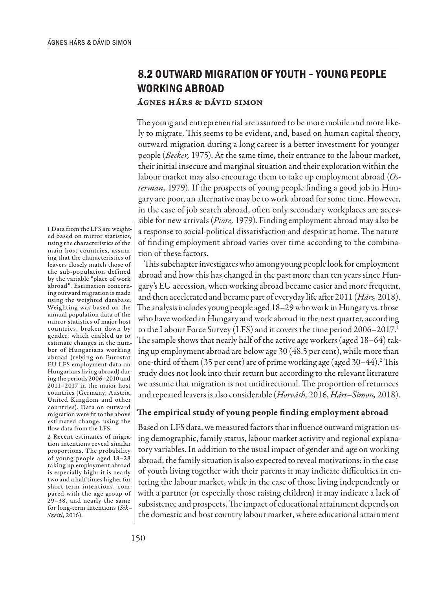## **8.2 OUTWARD MIGRATION OF YOUTH – YOUNG PEOPLE WORKING ABROAD**

## Ágnes Hárs & Dávid Simon

The young and entrepreneurial are assumed to be more mobile and more likely to migrate. This seems to be evident, and, based on human capital theory, outward migration during a long career is a better investment for younger people (*Becker,* 1975). At the same time, their entrance to the labour market, their initial insecure and marginal situation and their exploration within the labour market may also encourage them to take up employment abroad (*Osterman,* 1979). If the prospects of young people finding a good job in Hungary are poor, an alternative may be to work abroad for some time. However, in the case of job search abroad, often only secondary workplaces are accessible for new arrivals (*Piore,* 1979). Finding employment abroad may also be a response to social-political dissatisfaction and despair at home. The nature of finding employment abroad varies over time according to the combination of these factors.

This subchapter investigates who among young people look for employment abroad and how this has changed in the past more than ten years since Hungary's EU accession, when working abroad became easier and more frequent, and then accelerated and became part of everyday life after 2011 (*Hárs,* 2018). The analysis includes young people aged 18–29 who work in Hungary vs. those who have worked in Hungary and work abroad in the next quarter, according to the Labour Force Survey (LFS) and it covers the time period 2006–2017.<sup>1</sup> The sample shows that nearly half of the active age workers (aged 18–64) taking up employment abroad are below age 30 (48.5 per cent), while more than one-third of them (35 per cent) are of prime working age (aged 30–44).<sup>2</sup> This study does not look into their return but according to the relevant literature we assume that migration is not unidirectional. The proportion of returnees and repeated leavers is also considerable (*Horváth,* 2016, *Hárs–Simon,* 2018).

## The empirical study of young people finding employment abroad

Based on LFS data, we measured factors that influence outward migration using demographic, family status, labour market activity and regional explanatory variables. In addition to the usual impact of gender and age on working abroad, the family situation is also expected to reveal motivations: in the case of youth living together with their parents it may indicate difficulties in entering the labour market, while in the case of those living independently or with a partner (or especially those raising children) it may indicate a lack of subsistence and prospects. The impact of educational attainment depends on the domestic and host country labour market, where educational attainment

1 Data from the LFS are weighted based on mirror statistics, using the characteristics of the main host countries, assuming that the characteristics of leavers closely match those of the sub-population defined by the variable "place of work abroad". Estimation concerning outward migration is made using the weighted database. Weighting was based on the annual population data of the mirror statistics of major host countries, broken down by gender, which enabled us to estimate changes in the number of Hungarians working abroad (relying on Eurostat EU LFS employment data on Hungarians living abroad) during the periods 2006–2010 and 2011–2017 in the major host countries (Germany, Austria, United Kingdom and other countries). Data on outward migration were fit to the above estimated change, using the flow data from the LFS.

2 Recent estimates of migration intentions reveal similar proportions. The probability of young people aged 18–28 taking up employment abroad is especially high: it is nearly two and a half times higher for short-term intentions, compared with the age group of 29–38, and nearly the same for long-term intentions (*Sik– Szeitl,* 2016).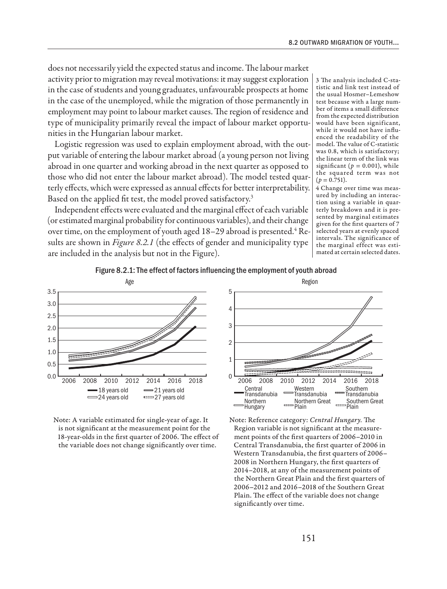does not necessarily yield the expected status and income. The labour market activity prior to migration may reveal motivations: it may suggest exploration in the case of students and young graduates, unfavourable prospects at home in the case of the unemployed, while the migration of those permanently in employment may point to labour market causes. The region of residence and type of municipality primarily reveal the impact of labour market opportunities in the Hungarian labour market.

Logistic regression was used to explain employment abroad, with the output variable of entering the labour market abroad (a young person not living abroad in one quarter and working abroad in the next quarter as opposed to those who did not enter the labour market abroad). The model tested quarterly effects, which were expressed as annual effects for better interpretability. Based on the applied fit test, the model proved satisfactory.<sup>3</sup>

Independent effects were evaluated and the marginal effect of each variable (or estimated marginal probability for continuous variables), and their change over time, on the employment of youth aged 18–29 abroad is presented. $\rm ^4$  Results are shown in *Figure 8.2.1* (the effects of gender and municipality type are included in the analysis but not in the Figure).

3 The analysis included C-statistic and link test instead of the usual Hosmer–Lemeshow test because with a large number of items a small difference from the expected distribution would have been significant, while it would not have influenced the readability of the model. The value of C-statistic was 0.8, which is satisfactory; the linear term of the link was significant ( $p = 0.001$ ), while the squared term was not  $(p = 0.751)$ .

4 Change over time was measured by including an interaction using a variable in quarterly breakdown and it is presented by marginal estimates given for the first quarters of 7 selected years at evenly spaced intervals. The significance of the marginal effect was estimated at certain selected dates.









Note: Reference category: *Central Hungary.* The Region variable is not significant at the measurement points of the first quarters of 2006–2010 in Central Transdanubia, the first quarter of 2006 in Western Transdanubia, the first quarters of 2006– 2008 in Northern Hungary, the first quarters of 2014–2018, at any of the measurement points of the Northern Great Plain and the first quarters of 2006–2012 and 2016–2018 of the Southern Great Plain. The effect of the variable does not change significantly over time.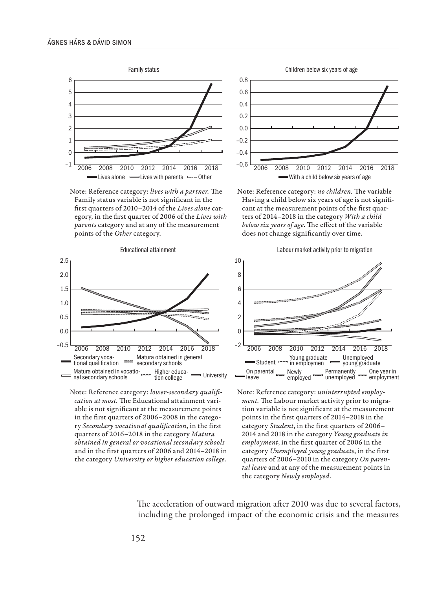

Note: Reference category: *lives with a partner.* The Family status variable is not significant in the first quarters of 2010–2014 of the *Lives alone* category, in the first quarter of 2006 of the *Lives with parents* category and at any of the measurement points of the *Other* category.



Note: Reference category: *lower-secondary qualification at most.* The Educational attainment variable is not significant at the measurement points in the first quarters of 2006–2008 in the category *Secondary vocational qualification*, in the first quarters of 2016–2018 in the category *Matura obtained in general or vocational secondary schools* and in the first quarters of 2006 and 2014–2018 in the category *University or higher education college*.

–0.4 –0.2 0.0 0.2 0.4 0.6 0.8 With a child below six years of age 2006 2008 2010 2012 2014 2016 2018

Note: Reference category: *no children.* The variable Having a child below six years of age is not significant at the measurement points of the first quarters of 2014–2018 in the category *With a child below six years of age*. The effect of the variable does not change significantly over time.





Note: Reference category: *uninterrupted employment.* The Labour market activity prior to migration variable is not significant at the measurement points in the first quarters of 2014–2018 in the category *Student*, in the first quarters of 2006– 2014 and 2018 in the category *Young graduate in employment*, in the first quarter of 2006 in the category *Unemployed young graduate*, in the first quarters of 2006–2010 in the category *On parental leave* and at any of the measurement points in the category *Newly employed*.

The acceleration of outward migration after 2010 was due to several factors, including the prolonged impact of the economic crisis and the measures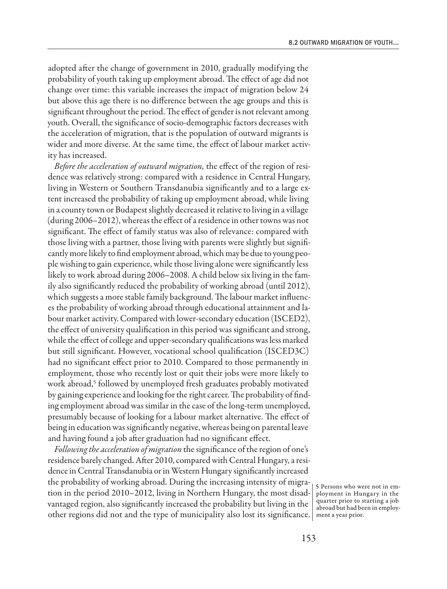adopted after the change of government in 2010, gradually modifying the probability of youth taking up employment abroad. The effect of age did not change over time: this variable increases the impact of migration below 24 but above this age there is no difference between the age groups and this is significant throughout the period. The effect of gender is not relevant among youth. Overall, the significance of socio-demographic factors decreases with the acceleration of migration, that is the population of outward migrants is wider and more diverse. At the same time, the effect of labour market activity has increased.

*Before the acceleration of outward migration,* the effect of the region of residence was relatively strong: compared with a residence in Central Hungary, living in Western or Southern Transdanubia significantly and to a large extent increased the probability of taking up employment abroad, while living in a county town or Budapest slightly decreased it relative to living in a village (during 2006–2012), whereas the effect of a residence in other towns was not significant. The effect of family status was also of relevance: compared with those living with a partner, those living with parents were slightly but significantly more likely to find employment abroad, which may be due to young people wishing to gain experience, while those living alone were significantly less likely to work abroad during 2006–2008. A child below six living in the family also significantly reduced the probability of working abroad (until 2012), which suggests a more stable family background. The labour market influences the probability of working abroad through educational attainment and labour market activity. Compared with lower-secondary education (ISCED2), the effect of university qualification in this period was significant and strong, while the effect of college and upper-secondary qualifications was less marked but still significant. However, vocational school qualification (ISCED3C) had no significant effect prior to 2010. Compared to those permanently in employment, those who recently lost or quit their jobs were more likely to work abroad,<sup>5</sup> followed by unemployed fresh graduates probably motivated by gaining experience and looking for the right career. The probability of finding employment abroad was similar in the case of the long-term unemployed, presumably because of looking for a labour market alternative. The effect of being in education was significantly negative, whereas being on parental leave and having found a job after graduation had no significant effect.

*Following the acceleration of migration* the significance of the region of one's residence barely changed. After 2010, compared with Central Hungary, a residence in Central Transdanubia or in Western Hungary significantly increased the probability of working abroad. During the increasing intensity of migration in the period 2010–2012, living in Northern Hungary, the most disadvantaged region, also significantly increased the probability but living in the other regions did not and the type of municipality also lost its significance. ment a year prior.

5 Persons who were not in employment in Hungary in the quarter prior to starting a job abroad but had been in employ